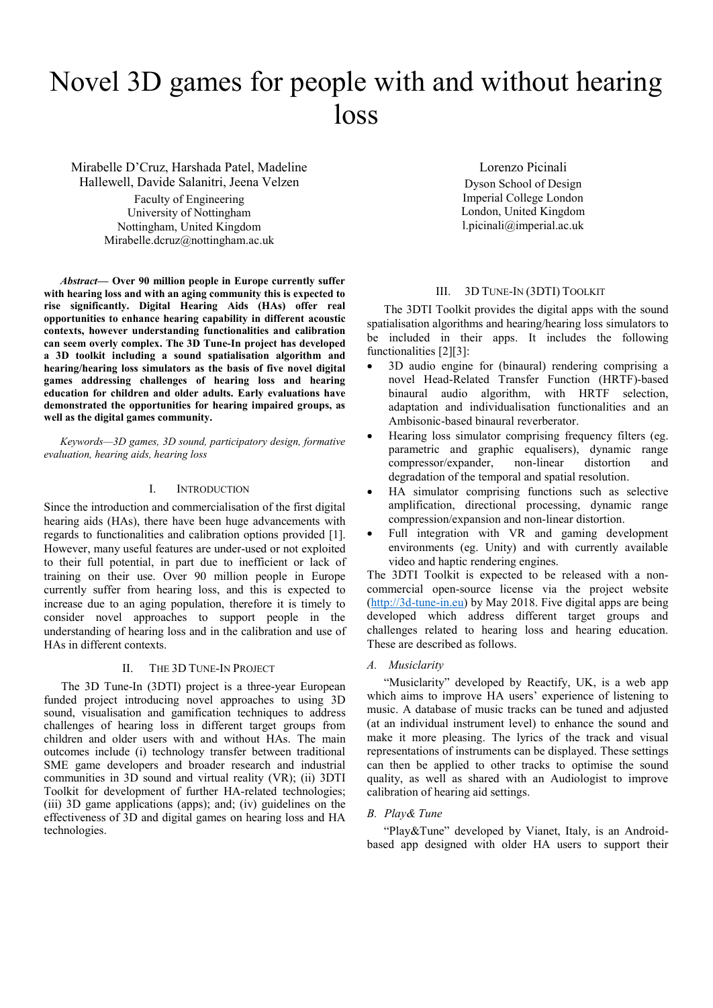# Novel 3D games for people with and without hearing loss

Mirabelle D'Cruz, Harshada Patel, Madeline Hallewell, Davide Salanitri, Jeena Velzen Faculty of Engineering University of Nottingham Nottingham, United Kingdom Mirabelle.dcruz@nottingham.ac.uk

*Abstract***— Over 90 million people in Europe currently suffer with hearing loss and with an aging community this is expected to rise significantly. Digital Hearing Aids (HAs) offer real opportunities to enhance hearing capability in different acoustic contexts, however understanding functionalities and calibration can seem overly complex. The 3D Tune-In project has developed a 3D toolkit including a sound spatialisation algorithm and hearing/hearing loss simulators as the basis of five novel digital games addressing challenges of hearing loss and hearing education for children and older adults. Early evaluations have demonstrated the opportunities for hearing impaired groups, as well as the digital games community.**

*Keywords—3D games, 3D sound, participatory design, formative evaluation, hearing aids, hearing loss*

## I. INTRODUCTION

Since the introduction and commercialisation of the first digital hearing aids (HAs), there have been huge advancements with regards to functionalities and calibration options provided [1]. However, many useful features are under-used or not exploited to their full potential, in part due to inefficient or lack of training on their use. Over 90 million people in Europe currently suffer from hearing loss, and this is expected to increase due to an aging population, therefore it is timely to consider novel approaches to support people in the understanding of hearing loss and in the calibration and use of HAs in different contexts.

## II. THE 3D TUNE-IN PROJECT

The 3D Tune-In (3DTI) project is a three-year European funded project introducing novel approaches to using 3D sound, visualisation and gamification techniques to address challenges of hearing loss in different target groups from children and older users with and without HAs. The main outcomes include (i) technology transfer between traditional SME game developers and broader research and industrial communities in 3D sound and virtual reality (VR); (ii) 3DTI Toolkit for development of further HA-related technologies; (iii) 3D game applications (apps); and; (iv) guidelines on the effectiveness of 3D and digital games on hearing loss and HA technologies.

Lorenzo Picinali Dyson School of Design Imperial College London London, United Kingdom l.picinali@imperial.ac.uk

#### III. 3D TUNE-IN (3DTI) TOOLKIT

The 3DTI Toolkit provides the digital apps with the sound spatialisation algorithms and hearing/hearing loss simulators to be included in their apps. It includes the following functionalities [2][3]:

- 3D audio engine for (binaural) rendering comprising a novel Head-Related Transfer Function (HRTF)-based binaural audio algorithm, with HRTF selection, adaptation and individualisation functionalities and an Ambisonic-based binaural reverberator.
- Hearing loss simulator comprising frequency filters (eg. parametric and graphic equalisers), dynamic range compressor/expander, non-linear distortion and degradation of the temporal and spatial resolution.
- HA simulator comprising functions such as selective amplification, directional processing, dynamic range compression/expansion and non-linear distortion.
- Full integration with VR and gaming development environments (eg. Unity) and with currently available video and haptic rendering engines.

The 3DTI Toolkit is expected to be released with a noncommercial open-source license via the project website [\(http://3d-tune-in.eu\)](http://3d-tune-in.eu/) by May 2018. Five digital apps are being developed which address different target groups and challenges related to hearing loss and hearing education. These are described as follows.

## *A. Musiclarity*

"Musiclarity" developed by Reactify, UK, is a web app which aims to improve HA users' experience of listening to music. A database of music tracks can be tuned and adjusted (at an individual instrument level) to enhance the sound and make it more pleasing. The lyrics of the track and visual representations of instruments can be displayed. These settings can then be applied to other tracks to optimise the sound quality, as well as shared with an Audiologist to improve calibration of hearing aid settings.

## *B. Play& Tune*

"Play&Tune" developed by Vianet, Italy, is an Androidbased app designed with older HA users to support their